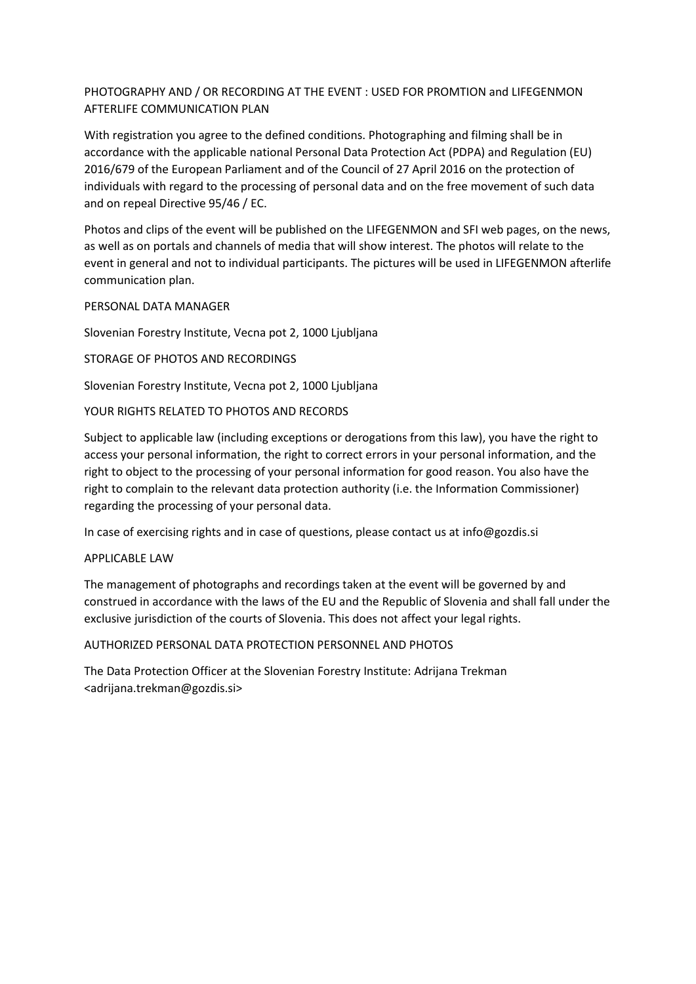# PHOTOGRAPHY AND / OR RECORDING AT THE EVENT : USED FOR PROMTION and LIFEGENMON AFTERLIFE COMMUNICATION PLAN

With registration you agree to the defined conditions. Photographing and filming shall be in accordance with the applicable national Personal Data Protection Act (PDPA) and Regulation (EU) 2016/679 of the European Parliament and of the Council of 27 April 2016 on the protection of individuals with regard to the processing of personal data and on the free movement of such data and on repeal Directive 95/46 / EC.

Photos and clips of the event will be published on the LIFEGENMON and SFI web pages, on the news, as well as on portals and channels of media that will show interest. The photos will relate to the event in general and not to individual participants. The pictures will be used in LIFEGENMON afterlife communication plan.

# PERSONAL DATA MANAGER

Slovenian Forestry Institute, Vecna pot 2, 1000 Ljubljana

# STORAGE OF PHOTOS AND RECORDINGS

Slovenian Forestry Institute, Vecna pot 2, 1000 Ljubljana

# YOUR RIGHTS RELATED TO PHOTOS AND RECORDS

Subject to applicable law (including exceptions or derogations from this law), you have the right to access your personal information, the right to correct errors in your personal information, and the right to object to the processing of your personal information for good reason. You also have the right to complain to the relevant data protection authority (i.e. the Information Commissioner) regarding the processing of your personal data.

In case of exercising rights and in case of questions, please contact us at info@gozdis.si

### APPLICABLE LAW

The management of photographs and recordings taken at the event will be governed by and construed in accordance with the laws of the EU and the Republic of Slovenia and shall fall under the exclusive jurisdiction of the courts of Slovenia. This does not affect your legal rights.

### AUTHORIZED PERSONAL DATA PROTECTION PERSONNEL AND PHOTOS

The Data Protection Officer at the Slovenian Forestry Institute: Adrijana Trekman <adrijana.trekman@gozdis.si>